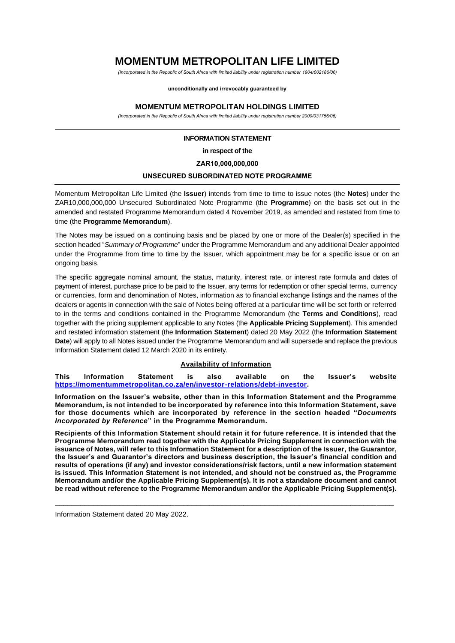# **MOMENTUM METROPOLITAN LIFE LIMITED**

*(Incorporated in the Republic of South Africa with limited liability under registration number 1904/002186/06)*

**unconditionally and irrevocably guaranteed by**

#### **MOMENTUM METROPOLITAN HOLDINGS LIMITED**

*(Incorporated in the Republic of South Africa with limited liability under registration number 2000/031756/06)*

#### **INFORMATION STATEMENT**

**in respect of the**

**ZAR10,000,000,000**

#### **UNSECURED SUBORDINATED NOTE PROGRAMME**

Momentum Metropolitan Life Limited (the **Issuer**) intends from time to time to issue notes (the **Notes**) under the ZAR10,000,000,000 Unsecured Subordinated Note Programme (the **Programme**) on the basis set out in the amended and restated Programme Memorandum dated 4 November 2019, as amended and restated from time to time (the **Programme Memorandum**).

The Notes may be issued on a continuing basis and be placed by one or more of the Dealer(s) specified in the section headed "*Summary of Programme*" under the Programme Memorandum and any additional Dealer appointed under the Programme from time to time by the Issuer, which appointment may be for a specific issue or on an ongoing basis.

The specific aggregate nominal amount, the status, maturity, interest rate, or interest rate formula and dates of payment of interest, purchase price to be paid to the Issuer, any terms for redemption or other special terms, currency or currencies, form and denomination of Notes, information as to financial exchange listings and the names of the dealers or agents in connection with the sale of Notes being offered at a particular time will be set forth or referred to in the terms and conditions contained in the Programme Memorandum (the **Terms and Conditions**), read together with the pricing supplement applicable to any Notes (the **Applicable Pricing Supplement**). This amended and restated information statement (the **Information Statement**) dated 20 May 2022 (the **Information Statement Date**) will apply to all Notes issued under the Programme Memorandum and will supersede and replace the previous Information Statement dated 12 March 2020 in its entirety.

### **Availability of Information**

**This Information Statement is also available on the Issuer's website [https://momentummetropolitan.co.za/en/investor-relations/debt-investor.](https://protect-za.mimecast.com/s/_3nLCRgK2ji5Qo3Xh9nmUH?domain=momentummetropolitan.co.za)** 

**Information on the Issuer's website, other than in this Information Statement and the Programme Memorandum, is not intended to be incorporated by reference into this Information Statement, save for those documents which are incorporated by reference in the section headed "***Documents Incorporated by Reference***" in the Programme Memorandum.**

**Recipients of this Information Statement should retain it for future reference. It is intended that the Programme Memorandum read together with the Applicable Pricing Supplement in connection with the issuance of Notes, will refer to this Information Statement for a description of the Issuer, the Guarantor, the Issuer's and Guarantor's directors and business description, the Issuer's financial condition and results of operations (if any) and investor considerations/risk factors, until a new information statement is issued. This Information Statement is not intended, and should not be construed as, the Programme Memorandum and/or the Applicable Pricing Supplement(s). It is not a standalone document and cannot be read without reference to the Programme Memorandum and/or the Applicable Pricing Supplement(s).**

\_\_\_\_\_\_\_\_\_\_\_\_\_\_\_\_\_\_\_\_\_\_\_\_\_\_\_\_\_\_\_\_\_\_\_\_\_\_\_\_\_\_\_\_\_\_\_\_\_\_\_\_\_\_\_\_\_\_\_\_\_\_\_\_\_\_\_\_\_\_\_\_\_\_\_\_\_\_\_

Information Statement dated 20 May 2022.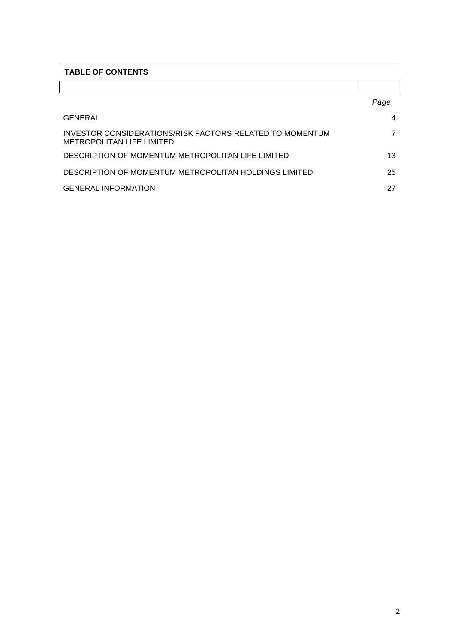## **TABLE OF CONTENTS**

|                                                                                              | Page |
|----------------------------------------------------------------------------------------------|------|
| GENERAL                                                                                      | 4    |
| INVESTOR CONSIDERATIONS/RISK FACTORS RELATED TO MOMENTUM<br><b>METROPOLITAN LIFE LIMITED</b> |      |
| DESCRIPTION OF MOMENTUM METROPOLITAN LIFE LIMITED                                            | 13   |
| DESCRIPTION OF MOMENTUM METROPOLITAN HOLDINGS LIMITED                                        | 25   |
| <b>GENERAL INFORMATION</b>                                                                   | 27   |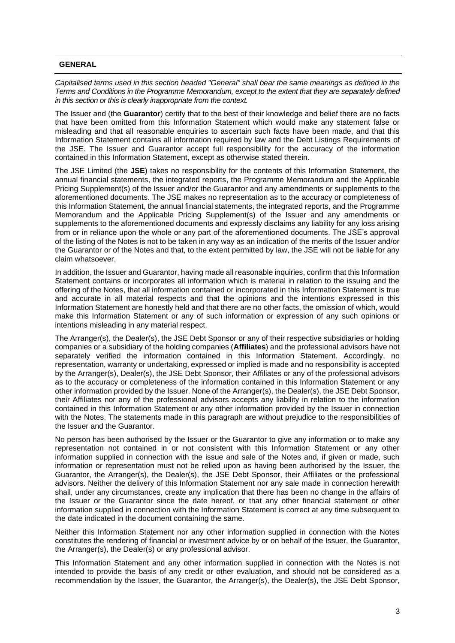### **GENERAL**

*Capitalised terms used in this section headed "General" shall bear the same meanings as defined in the Terms and Conditions in the Programme Memorandum, except to the extent that they are separately defined in this section or this is clearly inappropriate from the context.*

The Issuer and (the **Guarantor**) certify that to the best of their knowledge and belief there are no facts that have been omitted from this Information Statement which would make any statement false or misleading and that all reasonable enquiries to ascertain such facts have been made, and that this Information Statement contains all information required by law and the Debt Listings Requirements of the JSE. The Issuer and Guarantor accept full responsibility for the accuracy of the information contained in this Information Statement, except as otherwise stated therein.

The JSE Limited (the **JSE**) takes no responsibility for the contents of this Information Statement, the annual financial statements, the integrated reports, the Programme Memorandum and the Applicable Pricing Supplement(s) of the Issuer and/or the Guarantor and any amendments or supplements to the aforementioned documents. The JSE makes no representation as to the accuracy or completeness of this Information Statement, the annual financial statements, the integrated reports, and the Programme Memorandum and the Applicable Pricing Supplement(s) of the Issuer and any amendments or supplements to the aforementioned documents and expressly disclaims any liability for any loss arising from or in reliance upon the whole or any part of the aforementioned documents. The JSE's approval of the listing of the Notes is not to be taken in any way as an indication of the merits of the Issuer and/or the Guarantor or of the Notes and that, to the extent permitted by law, the JSE will not be liable for any claim whatsoever.

In addition, the Issuer and Guarantor, having made all reasonable inquiries, confirm that this Information Statement contains or incorporates all information which is material in relation to the issuing and the offering of the Notes, that all information contained or incorporated in this Information Statement is true and accurate in all material respects and that the opinions and the intentions expressed in this Information Statement are honestly held and that there are no other facts, the omission of which, would make this Information Statement or any of such information or expression of any such opinions or intentions misleading in any material respect.

The Arranger(s), the Dealer(s), the JSE Debt Sponsor or any of their respective subsidiaries or holding companies or a subsidiary of the holding companies (**Affiliates**) and the professional advisors have not separately verified the information contained in this Information Statement. Accordingly, no representation, warranty or undertaking, expressed or implied is made and no responsibility is accepted by the Arranger(s), Dealer(s), the JSE Debt Sponsor, their Affiliates or any of the professional advisors as to the accuracy or completeness of the information contained in this Information Statement or any other information provided by the Issuer. None of the Arranger(s), the Dealer(s), the JSE Debt Sponsor, their Affiliates nor any of the professional advisors accepts any liability in relation to the information contained in this Information Statement or any other information provided by the Issuer in connection with the Notes. The statements made in this paragraph are without prejudice to the responsibilities of the Issuer and the Guarantor.

No person has been authorised by the Issuer or the Guarantor to give any information or to make any representation not contained in or not consistent with this Information Statement or any other information supplied in connection with the issue and sale of the Notes and, if given or made, such information or representation must not be relied upon as having been authorised by the Issuer, the Guarantor, the Arranger(s), the Dealer(s), the JSE Debt Sponsor, their Affiliates or the professional advisors. Neither the delivery of this Information Statement nor any sale made in connection herewith shall, under any circumstances, create any implication that there has been no change in the affairs of the Issuer or the Guarantor since the date hereof, or that any other financial statement or other information supplied in connection with the Information Statement is correct at any time subsequent to the date indicated in the document containing the same.

Neither this Information Statement nor any other information supplied in connection with the Notes constitutes the rendering of financial or investment advice by or on behalf of the Issuer, the Guarantor, the Arranger(s), the Dealer(s) or any professional advisor.

This Information Statement and any other information supplied in connection with the Notes is not intended to provide the basis of any credit or other evaluation, and should not be considered as a recommendation by the Issuer, the Guarantor, the Arranger(s), the Dealer(s), the JSE Debt Sponsor,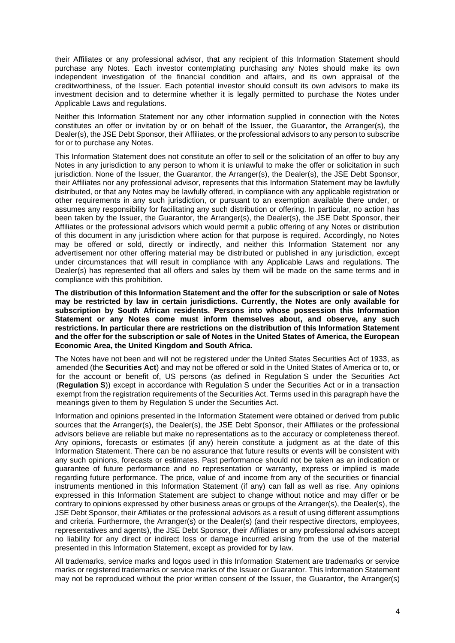their Affiliates or any professional advisor, that any recipient of this Information Statement should purchase any Notes. Each investor contemplating purchasing any Notes should make its own independent investigation of the financial condition and affairs, and its own appraisal of the creditworthiness, of the Issuer. Each potential investor should consult its own advisors to make its investment decision and to determine whether it is legally permitted to purchase the Notes under Applicable Laws and regulations.

Neither this Information Statement nor any other information supplied in connection with the Notes constitutes an offer or invitation by or on behalf of the Issuer, the Guarantor, the Arranger(s), the Dealer(s), the JSE Debt Sponsor, their Affiliates, or the professional advisors to any person to subscribe for or to purchase any Notes.

This Information Statement does not constitute an offer to sell or the solicitation of an offer to buy any Notes in any jurisdiction to any person to whom it is unlawful to make the offer or solicitation in such jurisdiction. None of the Issuer, the Guarantor, the Arranger(s), the Dealer(s), the JSE Debt Sponsor, their Affiliates nor any professional advisor, represents that this Information Statement may be lawfully distributed, or that any Notes may be lawfully offered, in compliance with any applicable registration or other requirements in any such jurisdiction, or pursuant to an exemption available there under, or assumes any responsibility for facilitating any such distribution or offering. In particular, no action has been taken by the Issuer, the Guarantor, the Arranger(s), the Dealer(s), the JSE Debt Sponsor, their Affiliates or the professional advisors which would permit a public offering of any Notes or distribution of this document in any jurisdiction where action for that purpose is required. Accordingly, no Notes may be offered or sold, directly or indirectly, and neither this Information Statement nor any advertisement nor other offering material may be distributed or published in any jurisdiction, except under circumstances that will result in compliance with any Applicable Laws and regulations. The Dealer(s) has represented that all offers and sales by them will be made on the same terms and in compliance with this prohibition.

**The distribution of this Information Statement and the offer for the subscription or sale of Notes may be restricted by law in certain jurisdictions. Currently, the Notes are only available for subscription by South African residents. Persons into whose possession this Information Statement or any Notes come must inform themselves about, and observe, any such restrictions. In particular there are restrictions on the distribution of this Information Statement and the offer for the subscription or sale of Notes in the United States of America, the European Economic Area, the United Kingdom and South Africa.**

The Notes have not been and will not be registered under the United States Securities Act of 1933, as amended (the **Securities Act**) and may not be offered or sold in the United States of America or to, or for the account or benefit of, US persons (as defined in Regulation S under the Securities Act (**Regulation S**)) except in accordance with Regulation S under the Securities Act or in a transaction exempt from the registration requirements of the Securities Act. Terms used in this paragraph have the meanings given to them by Regulation S under the Securities Act.

Information and opinions presented in the Information Statement were obtained or derived from public sources that the Arranger(s), the Dealer(s), the JSE Debt Sponsor, their Affiliates or the professional advisors believe are reliable but make no representations as to the accuracy or completeness thereof. Any opinions, forecasts or estimates (if any) herein constitute a judgment as at the date of this Information Statement. There can be no assurance that future results or events will be consistent with any such opinions, forecasts or estimates. Past performance should not be taken as an indication or guarantee of future performance and no representation or warranty, express or implied is made regarding future performance. The price, value of and income from any of the securities or financial instruments mentioned in this Information Statement (if any) can fall as well as rise. Any opinions expressed in this Information Statement are subject to change without notice and may differ or be contrary to opinions expressed by other business areas or groups of the Arranger(s), the Dealer(s), the JSE Debt Sponsor, their Affiliates or the professional advisors as a result of using different assumptions and criteria. Furthermore, the Arranger(s) or the Dealer(s) (and their respective directors, employees, representatives and agents), the JSE Debt Sponsor, their Affiliates or any professional advisors accept no liability for any direct or indirect loss or damage incurred arising from the use of the material presented in this Information Statement, except as provided for by law.

All trademarks, service marks and logos used in this Information Statement are trademarks or service marks or registered trademarks or service marks of the Issuer or Guarantor. This Information Statement may not be reproduced without the prior written consent of the Issuer, the Guarantor, the Arranger(s)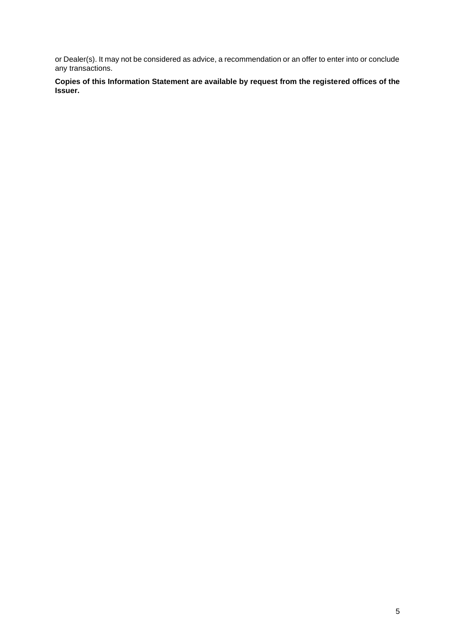or Dealer(s). It may not be considered as advice, a recommendation or an offer to enter into or conclude any transactions.

**Copies of this Information Statement are available by request from the registered offices of the Issuer.**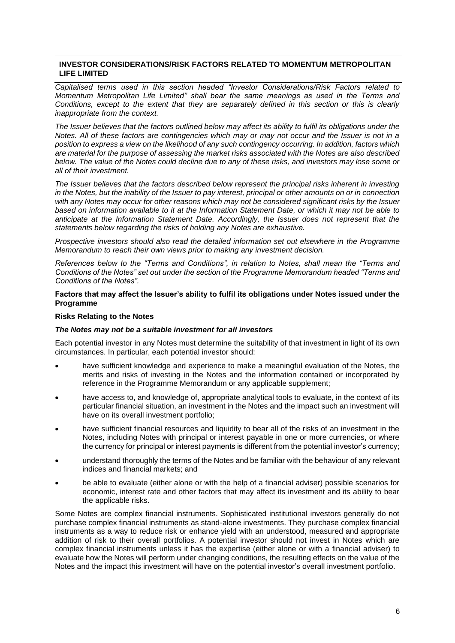## **INVESTOR CONSIDERATIONS/RISK FACTORS RELATED TO MOMENTUM METROPOLITAN LIFE LIMITED**

*Capitalised terms used in this section headed "Investor Considerations/Risk Factors related to Momentum Metropolitan Life Limited" shall bear the same meanings as used in the Terms and Conditions, except to the extent that they are separately defined in this section or this is clearly inappropriate from the context.* 

*The Issuer believes that the factors outlined below may affect its ability to fulfil its obligations under the Notes. All of these factors are contingencies which may or may not occur and the Issuer is not in a position to express a view on the likelihood of any such contingency occurring. In addition, factors which are material for the purpose of assessing the market risks associated with the Notes are also described below. The value of the Notes could decline due to any of these risks, and investors may lose some or all of their investment.*

*The Issuer believes that the factors described below represent the principal risks inherent in investing in the Notes, but the inability of the Issuer to pay interest, principal or other amounts on or in connection with any Notes may occur for other reasons which may not be considered significant risks by the Issuer based on information available to it at the Information Statement Date, or which it may not be able to anticipate at the Information Statement Date. Accordingly, the Issuer does not represent that the statements below regarding the risks of holding any Notes are exhaustive.* 

*Prospective investors should also read the detailed information set out elsewhere in the Programme Memorandum to reach their own views prior to making any investment decision.* 

*References below to the "Terms and Conditions", in relation to Notes, shall mean the "Terms and Conditions of the Notes" set out under the section of the Programme Memorandum headed "Terms and Conditions of the Notes".* 

#### **Factors that may affect the Issuer's ability to fulfil its obligations under Notes issued under the Programme**

### **Risks Relating to the Notes**

### *The Notes may not be a suitable investment for all investors*

Each potential investor in any Notes must determine the suitability of that investment in light of its own circumstances. In particular, each potential investor should:

- have sufficient knowledge and experience to make a meaningful evaluation of the Notes, the merits and risks of investing in the Notes and the information contained or incorporated by reference in the Programme Memorandum or any applicable supplement;
- have access to, and knowledge of, appropriate analytical tools to evaluate, in the context of its particular financial situation, an investment in the Notes and the impact such an investment will have on its overall investment portfolio;
- have sufficient financial resources and liquidity to bear all of the risks of an investment in the Notes, including Notes with principal or interest payable in one or more currencies, or where the currency for principal or interest payments is different from the potential investor's currency;
- understand thoroughly the terms of the Notes and be familiar with the behaviour of any relevant indices and financial markets; and
- be able to evaluate (either alone or with the help of a financial adviser) possible scenarios for economic, interest rate and other factors that may affect its investment and its ability to bear the applicable risks.

Some Notes are complex financial instruments. Sophisticated institutional investors generally do not purchase complex financial instruments as stand-alone investments. They purchase complex financial instruments as a way to reduce risk or enhance yield with an understood, measured and appropriate addition of risk to their overall portfolios. A potential investor should not invest in Notes which are complex financial instruments unless it has the expertise (either alone or with a financial adviser) to evaluate how the Notes will perform under changing conditions, the resulting effects on the value of the Notes and the impact this investment will have on the potential investor's overall investment portfolio.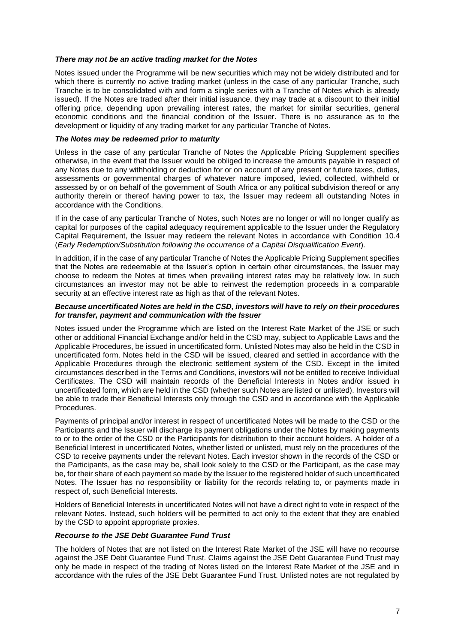### *There may not be an active trading market for the Notes*

Notes issued under the Programme will be new securities which may not be widely distributed and for which there is currently no active trading market (unless in the case of any particular Tranche, such Tranche is to be consolidated with and form a single series with a Tranche of Notes which is already issued). If the Notes are traded after their initial issuance, they may trade at a discount to their initial offering price, depending upon prevailing interest rates, the market for similar securities, general economic conditions and the financial condition of the Issuer. There is no assurance as to the development or liquidity of any trading market for any particular Tranche of Notes.

## *The Notes may be redeemed prior to maturity*

Unless in the case of any particular Tranche of Notes the Applicable Pricing Supplement specifies otherwise, in the event that the Issuer would be obliged to increase the amounts payable in respect of any Notes due to any withholding or deduction for or on account of any present or future taxes, duties, assessments or governmental charges of whatever nature imposed, levied, collected, withheld or assessed by or on behalf of the government of South Africa or any political subdivision thereof or any authority therein or thereof having power to tax, the Issuer may redeem all outstanding Notes in accordance with the Conditions.

If in the case of any particular Tranche of Notes, such Notes are no longer or will no longer qualify as capital for purposes of the capital adequacy requirement applicable to the Issuer under the Regulatory Capital Requirement, the Issuer may redeem the relevant Notes in accordance with Condition 10.4 (*Early Redemption/Substitution following the occurrence of a Capital Disqualification Event*).

In addition, if in the case of any particular Tranche of Notes the Applicable Pricing Supplement specifies that the Notes are redeemable at the Issuer's option in certain other circumstances, the Issuer may choose to redeem the Notes at times when prevailing interest rates may be relatively low. In such circumstances an investor may not be able to reinvest the redemption proceeds in a comparable security at an effective interest rate as high as that of the relevant Notes.

#### *Because uncertificated Notes are held in the CSD, investors will have to rely on their procedures for transfer, payment and communication with the Issuer*

Notes issued under the Programme which are listed on the Interest Rate Market of the JSE or such other or additional Financial Exchange and/or held in the CSD may, subject to Applicable Laws and the Applicable Procedures, be issued in uncertificated form. Unlisted Notes may also be held in the CSD in uncertificated form. Notes held in the CSD will be issued, cleared and settled in accordance with the Applicable Procedures through the electronic settlement system of the CSD. Except in the limited circumstances described in the Terms and Conditions, investors will not be entitled to receive Individual Certificates. The CSD will maintain records of the Beneficial Interests in Notes and/or issued in uncertificated form, which are held in the CSD (whether such Notes are listed or unlisted). Investors will be able to trade their Beneficial Interests only through the CSD and in accordance with the Applicable **Procedures** 

Payments of principal and/or interest in respect of uncertificated Notes will be made to the CSD or the Participants and the Issuer will discharge its payment obligations under the Notes by making payments to or to the order of the CSD or the Participants for distribution to their account holders. A holder of a Beneficial Interest in uncertificated Notes, whether listed or unlisted, must rely on the procedures of the CSD to receive payments under the relevant Notes. Each investor shown in the records of the CSD or the Participants, as the case may be, shall look solely to the CSD or the Participant, as the case may be, for their share of each payment so made by the Issuer to the registered holder of such uncertificated Notes. The Issuer has no responsibility or liability for the records relating to, or payments made in respect of, such Beneficial Interests.

Holders of Beneficial Interests in uncertificated Notes will not have a direct right to vote in respect of the relevant Notes. Instead, such holders will be permitted to act only to the extent that they are enabled by the CSD to appoint appropriate proxies.

### *Recourse to the JSE Debt Guarantee Fund Trust*

The holders of Notes that are not listed on the Interest Rate Market of the JSE will have no recourse against the JSE Debt Guarantee Fund Trust. Claims against the JSE Debt Guarantee Fund Trust may only be made in respect of the trading of Notes listed on the Interest Rate Market of the JSE and in accordance with the rules of the JSE Debt Guarantee Fund Trust. Unlisted notes are not regulated by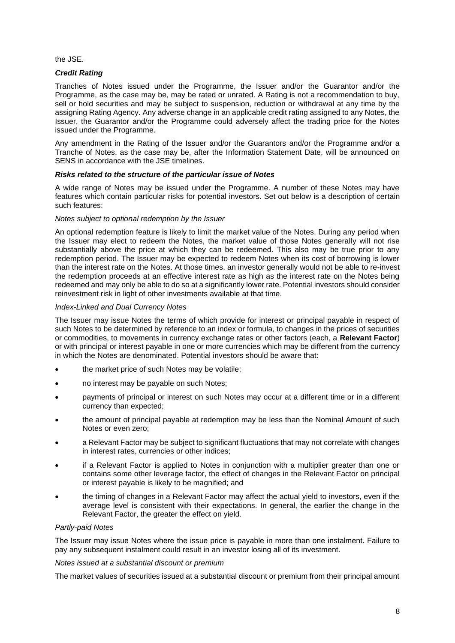the JSE.

#### *Credit Rating*

Tranches of Notes issued under the Programme, the Issuer and/or the Guarantor and/or the Programme, as the case may be, may be rated or unrated. A Rating is not a recommendation to buy, sell or hold securities and may be subject to suspension, reduction or withdrawal at any time by the assigning Rating Agency. Any adverse change in an applicable credit rating assigned to any Notes, the Issuer, the Guarantor and/or the Programme could adversely affect the trading price for the Notes issued under the Programme.

Any amendment in the Rating of the Issuer and/or the Guarantors and/or the Programme and/or a Tranche of Notes, as the case may be, after the Information Statement Date, will be announced on SENS in accordance with the JSE timelines.

#### *Risks related to the structure of the particular issue of Notes*

A wide range of Notes may be issued under the Programme. A number of these Notes may have features which contain particular risks for potential investors. Set out below is a description of certain such features:

#### *Notes subject to optional redemption by the Issuer*

An optional redemption feature is likely to limit the market value of the Notes. During any period when the Issuer may elect to redeem the Notes, the market value of those Notes generally will not rise substantially above the price at which they can be redeemed. This also may be true prior to any redemption period. The Issuer may be expected to redeem Notes when its cost of borrowing is lower than the interest rate on the Notes. At those times, an investor generally would not be able to re-invest the redemption proceeds at an effective interest rate as high as the interest rate on the Notes being redeemed and may only be able to do so at a significantly lower rate. Potential investors should consider reinvestment risk in light of other investments available at that time.

#### *Index-Linked and Dual Currency Notes*

The Issuer may issue Notes the terms of which provide for interest or principal payable in respect of such Notes to be determined by reference to an index or formula, to changes in the prices of securities or commodities, to movements in currency exchange rates or other factors (each, a **Relevant Factor**) or with principal or interest payable in one or more currencies which may be different from the currency in which the Notes are denominated. Potential investors should be aware that:

- the market price of such Notes may be volatile;
- no interest may be payable on such Notes;
- payments of principal or interest on such Notes may occur at a different time or in a different currency than expected;
- the amount of principal payable at redemption may be less than the Nominal Amount of such Notes or even zero;
- a Relevant Factor may be subject to significant fluctuations that may not correlate with changes in interest rates, currencies or other indices;
- if a Relevant Factor is applied to Notes in conjunction with a multiplier greater than one or contains some other leverage factor, the effect of changes in the Relevant Factor on principal or interest payable is likely to be magnified; and
- the timing of changes in a Relevant Factor may affect the actual yield to investors, even if the average level is consistent with their expectations. In general, the earlier the change in the Relevant Factor, the greater the effect on yield.

### *Partly-paid Notes*

The Issuer may issue Notes where the issue price is payable in more than one instalment. Failure to pay any subsequent instalment could result in an investor losing all of its investment.

#### *Notes issued at a substantial discount or premium*

The market values of securities issued at a substantial discount or premium from their principal amount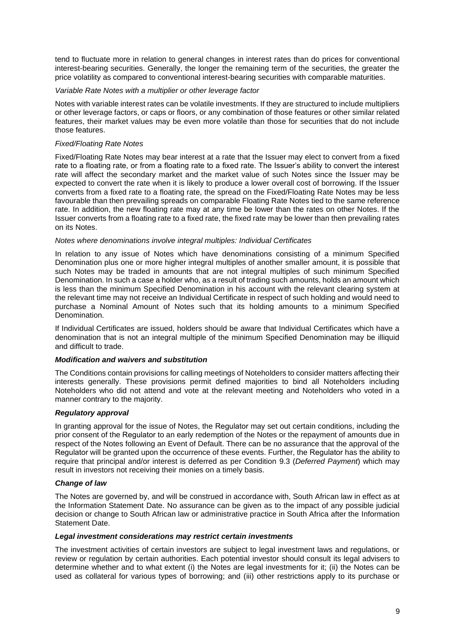tend to fluctuate more in relation to general changes in interest rates than do prices for conventional interest-bearing securities. Generally, the longer the remaining term of the securities, the greater the price volatility as compared to conventional interest-bearing securities with comparable maturities.

### *Variable Rate Notes with a multiplier or other leverage factor*

Notes with variable interest rates can be volatile investments. If they are structured to include multipliers or other leverage factors, or caps or floors, or any combination of those features or other similar related features, their market values may be even more volatile than those for securities that do not include those features.

## *Fixed/Floating Rate Notes*

Fixed/Floating Rate Notes may bear interest at a rate that the Issuer may elect to convert from a fixed rate to a floating rate, or from a floating rate to a fixed rate. The Issuer's ability to convert the interest rate will affect the secondary market and the market value of such Notes since the Issuer may be expected to convert the rate when it is likely to produce a lower overall cost of borrowing. If the Issuer converts from a fixed rate to a floating rate, the spread on the Fixed/Floating Rate Notes may be less favourable than then prevailing spreads on comparable Floating Rate Notes tied to the same reference rate. In addition, the new floating rate may at any time be lower than the rates on other Notes. If the Issuer converts from a floating rate to a fixed rate, the fixed rate may be lower than then prevailing rates on its Notes.

### *Notes where denominations involve integral multiples: Individual Certificates*

In relation to any issue of Notes which have denominations consisting of a minimum Specified Denomination plus one or more higher integral multiples of another smaller amount, it is possible that such Notes may be traded in amounts that are not integral multiples of such minimum Specified Denomination. In such a case a holder who, as a result of trading such amounts, holds an amount which is less than the minimum Specified Denomination in his account with the relevant clearing system at the relevant time may not receive an Individual Certificate in respect of such holding and would need to purchase a Nominal Amount of Notes such that its holding amounts to a minimum Specified Denomination.

If Individual Certificates are issued, holders should be aware that Individual Certificates which have a denomination that is not an integral multiple of the minimum Specified Denomination may be illiquid and difficult to trade.

## *Modification and waivers and substitution*

The Conditions contain provisions for calling meetings of Noteholders to consider matters affecting their interests generally. These provisions permit defined majorities to bind all Noteholders including Noteholders who did not attend and vote at the relevant meeting and Noteholders who voted in a manner contrary to the majority.

## *Regulatory approval*

In granting approval for the issue of Notes, the Regulator may set out certain conditions, including the prior consent of the Regulator to an early redemption of the Notes or the repayment of amounts due in respect of the Notes following an Event of Default. There can be no assurance that the approval of the Regulator will be granted upon the occurrence of these events. Further, the Regulator has the ability to require that principal and/or interest is deferred as per Condition 9.3 (*Deferred Payment*) which may result in investors not receiving their monies on a timely basis.

### *Change of law*

The Notes are governed by, and will be construed in accordance with, South African law in effect as at the Information Statement Date. No assurance can be given as to the impact of any possible judicial decision or change to South African law or administrative practice in South Africa after the Information Statement Date.

### *Legal investment considerations may restrict certain investments*

The investment activities of certain investors are subject to legal investment laws and regulations, or review or regulation by certain authorities. Each potential investor should consult its legal advisers to determine whether and to what extent (i) the Notes are legal investments for it; (ii) the Notes can be used as collateral for various types of borrowing; and (iii) other restrictions apply to its purchase or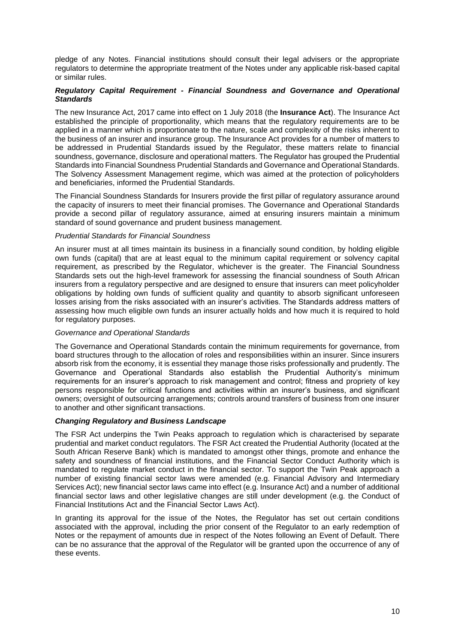pledge of any Notes. Financial institutions should consult their legal advisers or the appropriate regulators to determine the appropriate treatment of the Notes under any applicable risk-based capital or similar rules.

## *Regulatory Capital Requirement - Financial Soundness and Governance and Operational Standards*

The new Insurance Act, 2017 came into effect on 1 July 2018 (the **Insurance Act**). The Insurance Act established the principle of proportionality, which means that the regulatory requirements are to be applied in a manner which is proportionate to the nature, scale and complexity of the risks inherent to the business of an insurer and insurance group. The Insurance Act provides for a number of matters to be addressed in Prudential Standards issued by the Regulator, these matters relate to financial soundness, governance, disclosure and operational matters. The Regulator has grouped the Prudential Standards into Financial Soundness Prudential Standards and Governance and Operational Standards. The Solvency Assessment Management regime, which was aimed at the protection of policyholders and beneficiaries, informed the Prudential Standards.

The Financial Soundness Standards for Insurers provide the first pillar of regulatory assurance around the capacity of insurers to meet their financial promises. The Governance and Operational Standards provide a second pillar of regulatory assurance, aimed at ensuring insurers maintain a minimum standard of sound governance and prudent business management.

## *Prudential Standards for Financial Soundness*

An insurer must at all times maintain its business in a financially sound condition, by holding eligible own funds (capital) that are at least equal to the minimum capital requirement or solvency capital requirement, as prescribed by the Regulator, whichever is the greater. The Financial Soundness Standards sets out the high-level framework for assessing the financial soundness of South African insurers from a regulatory perspective and are designed to ensure that insurers can meet policyholder obligations by holding own funds of sufficient quality and quantity to absorb significant unforeseen losses arising from the risks associated with an insurer's activities. The Standards address matters of assessing how much eligible own funds an insurer actually holds and how much it is required to hold for regulatory purposes.

## *Governance and Operational Standards*

The Governance and Operational Standards contain the minimum requirements for governance, from board structures through to the allocation of roles and responsibilities within an insurer. Since insurers absorb risk from the economy, it is essential they manage those risks professionally and prudently. The Governance and Operational Standards also establish the Prudential Authority's minimum requirements for an insurer's approach to risk management and control; fitness and propriety of key persons responsible for critical functions and activities within an insurer's business, and significant owners; oversight of outsourcing arrangements; controls around transfers of business from one insurer to another and other significant transactions.

## *Changing Regulatory and Business Landscape*

The FSR Act underpins the Twin Peaks approach to regulation which is characterised by separate prudential and market conduct regulators. The FSR Act created the Prudential Authority (located at the South African Reserve Bank) which is mandated to amongst other things, promote and enhance the safety and soundness of financial institutions, and the Financial Sector Conduct Authority which is mandated to regulate market conduct in the financial sector. To support the Twin Peak approach a number of existing financial sector laws were amended (e.g. Financial Advisory and Intermediary Services Act); new financial sector laws came into effect (e.g. Insurance Act) and a number of additional financial sector laws and other legislative changes are still under development (e.g. the Conduct of Financial Institutions Act and the Financial Sector Laws Act).

In granting its approval for the issue of the Notes, the Regulator has set out certain conditions associated with the approval, including the prior consent of the Regulator to an early redemption of Notes or the repayment of amounts due in respect of the Notes following an Event of Default. There can be no assurance that the approval of the Regulator will be granted upon the occurrence of any of these events.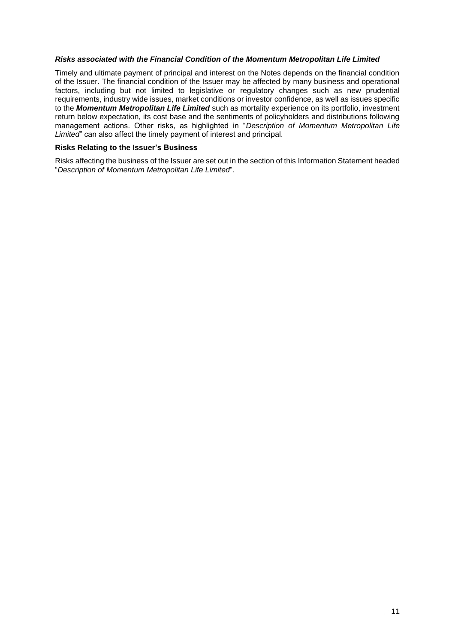### *Risks associated with the Financial Condition of the Momentum Metropolitan Life Limited*

Timely and ultimate payment of principal and interest on the Notes depends on the financial condition of the Issuer. The financial condition of the Issuer may be affected by many business and operational factors, including but not limited to legislative or regulatory changes such as new prudential requirements, industry wide issues, market conditions or investor confidence, as well as issues specific to the *Momentum Metropolitan Life Limited* such as mortality experience on its portfolio, investment return below expectation, its cost base and the sentiments of policyholders and distributions following management actions. Other risks, as highlighted in "*Description of Momentum Metropolitan Life Limited*" can also affect the timely payment of interest and principal.

## **Risks Relating to the Issuer's Business**

Risks affecting the business of the Issuer are set out in the section of this Information Statement headed "*Description of Momentum Metropolitan Life Limited*".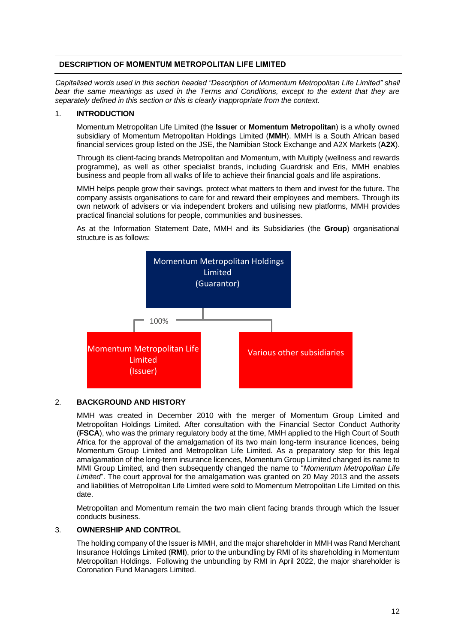## **DESCRIPTION OF MOMENTUM METROPOLITAN LIFE LIMITED**

*Capitalised words used in this section headed "Description of Momentum Metropolitan Life Limited" shall bear the same meanings as used in the Terms and Conditions, except to the extent that they are separately defined in this section or this is clearly inappropriate from the context.*

## 1. **INTRODUCTION**

Momentum Metropolitan Life Limited (the **Issue**r or **Momentum Metropolitan**) is a wholly owned subsidiary of Momentum Metropolitan Holdings Limited (**MMH**). MMH is a South African based financial services group listed on the JSE, the Namibian Stock Exchange and A2X Markets (**A2X**).

Through its client-facing brands Metropolitan and Momentum, with Multiply (wellness and rewards programme), as well as other specialist brands, including Guardrisk and Eris, MMH enables business and people from all walks of life to achieve their financial goals and life aspirations.

MMH helps people grow their savings, protect what matters to them and invest for the future. The company assists organisations to care for and reward their employees and members. Through its own network of advisers or via independent brokers and utilising new platforms, MMH provides practical financial solutions for people, communities and businesses.

As at the Information Statement Date, MMH and its Subsidiaries (the **Group**) organisational structure is as follows:



### 2. **BACKGROUND AND HISTORY**

MMH was created in December 2010 with the merger of Momentum Group Limited and Metropolitan Holdings Limited. After consultation with the Financial Sector Conduct Authority (**FSCA**), who was the primary regulatory body at the time, MMH applied to the High Court of South Africa for the approval of the amalgamation of its two main long-term insurance licences, being Momentum Group Limited and Metropolitan Life Limited. As a preparatory step for this legal amalgamation of the long-term insurance licences, Momentum Group Limited changed its name to MMI Group Limited, and then subsequently changed the name to "*Momentum Metropolitan Life Limited*". The court approval for the amalgamation was granted on 20 May 2013 and the assets and liabilities of Metropolitan Life Limited were sold to Momentum Metropolitan Life Limited on this date.

Metropolitan and Momentum remain the two main client facing brands through which the Issuer conducts business.

## 3. **OWNERSHIP AND CONTROL**

The holding company of the Issuer is MMH, and the major shareholder in MMH was Rand Merchant Insurance Holdings Limited (**RMI**), prior to the unbundling by RMI of its shareholding in Momentum Metropolitan Holdings. Following the unbundling by RMI in April 2022, the major shareholder is Coronation Fund Managers Limited.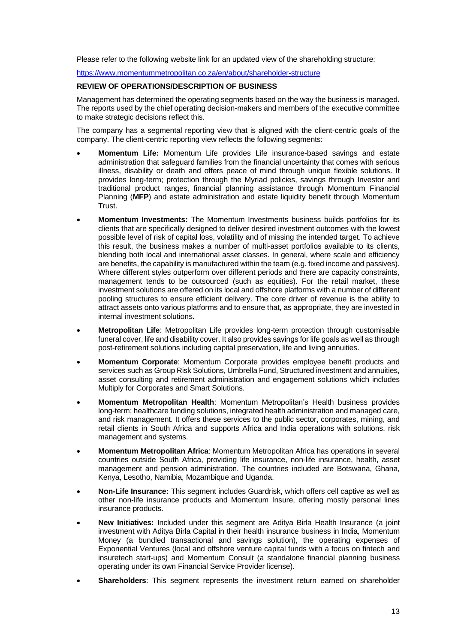Please refer to the following website link for an updated view of the shareholding structure:

<https://www.momentummetropolitan.co.za/en/about/shareholder-structure>

#### **REVIEW OF OPERATIONS/DESCRIPTION OF BUSINESS**

Management has determined the operating segments based on the way the business is managed. The reports used by the chief operating decision-makers and members of the executive committee to make strategic decisions reflect this.

The company has a segmental reporting view that is aligned with the client-centric goals of the company. The client-centric reporting view reflects the following segments:

- **Momentum Life:** Momentum Life provides Life insurance-based savings and estate administration that safeguard families from the financial uncertainty that comes with serious illness, disability or death and offers peace of mind through unique flexible solutions. It provides long-term; protection through the Myriad policies, savings through Investor and traditional product ranges, financial planning assistance through Momentum Financial Planning (**MFP**) and estate administration and estate liquidity benefit through Momentum Trust.
- **Momentum Investments:** The Momentum Investments business builds portfolios for its clients that are specifically designed to deliver desired investment outcomes with the lowest possible level of risk of capital loss, volatility and of missing the intended target. To achieve this result, the business makes a number of multi-asset portfolios available to its clients, blending both local and international asset classes. In general, where scale and efficiency are benefits, the capability is manufactured within the team (e.g. fixed income and passives). Where different styles outperform over different periods and there are capacity constraints, management tends to be outsourced (such as equities). For the retail market, these investment solutions are offered on its local and offshore platforms with a number of different pooling structures to ensure efficient delivery. The core driver of revenue is the ability to attract assets onto various platforms and to ensure that, as appropriate, they are invested in internal investment solutions**.**
- **Metropolitan Life**: Metropolitan Life provides long-term protection through customisable funeral cover, life and disability cover. It also provides savings for life goals as well as through post-retirement solutions including capital preservation, life and living annuities.
- **Momentum Corporate**: Momentum Corporate provides employee benefit products and services such as Group Risk Solutions, Umbrella Fund, Structured investment and annuities, asset consulting and retirement administration and engagement solutions which includes Multiply for Corporates and Smart Solutions.
- **Momentum Metropolitan Health**: Momentum Metropolitan's Health business provides long-term; healthcare funding solutions, integrated health administration and managed care, and risk management. It offers these services to the public sector, corporates, mining, and retail clients in South Africa and supports Africa and India operations with solutions, risk management and systems.
- **Momentum Metropolitan Africa**: Momentum Metropolitan Africa has operations in several countries outside South Africa, providing life insurance, non-life insurance, health, asset management and pension administration. The countries included are Botswana, Ghana, Kenya, Lesotho, Namibia, Mozambique and Uganda.
- **Non-Life Insurance:** This segment includes Guardrisk, which offers cell captive as well as other non-life insurance products and Momentum Insure, offering mostly personal lines insurance products.
- **New Initiatives:** Included under this segment are Aditya Birla Health Insurance (a joint investment with Aditya Birla Capital in their health insurance business in India, Momentum Money (a bundled transactional and savings solution), the operating expenses of Exponential Ventures (local and offshore venture capital funds with a focus on fintech and insuretech start-ups) and Momentum Consult (a standalone financial planning business operating under its own Financial Service Provider license).
- **Shareholders**: This segment represents the investment return earned on shareholder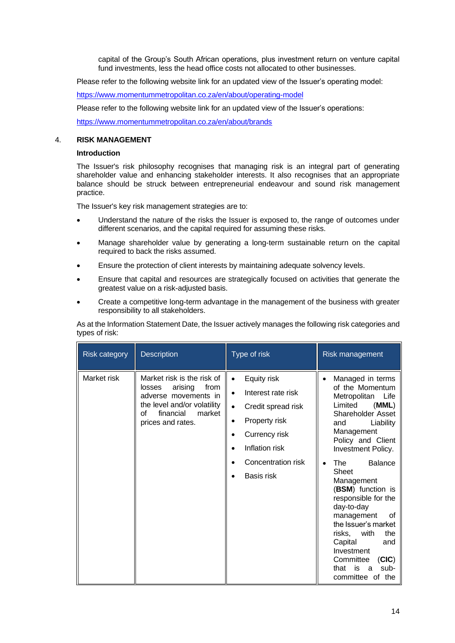capital of the Group's South African operations, plus investment return on venture capital fund investments, less the head office costs not allocated to other businesses.

Please refer to the following website link for an updated view of the Issuer's operating model:

<https://www.momentummetropolitan.co.za/en/about/operating-model>

Please refer to the following website link for an updated view of the Issuer's operations:

<https://www.momentummetropolitan.co.za/en/about/brands>

### 4. **RISK MANAGEMENT**

#### **Introduction**

The Issuer's risk philosophy recognises that managing risk is an integral part of generating shareholder value and enhancing stakeholder interests. It also recognises that an appropriate balance should be struck between entrepreneurial endeavour and sound risk management practice.

The Issuer's key risk management strategies are to:

- Understand the nature of the risks the Issuer is exposed to, the range of outcomes under different scenarios, and the capital required for assuming these risks.
- Manage shareholder value by generating a long-term sustainable return on the capital required to back the risks assumed.
- Ensure the protection of client interests by maintaining adequate solvency levels.
- Ensure that capital and resources are strategically focused on activities that generate the greatest value on a risk-adjusted basis.
- Create a competitive long-term advantage in the management of the business with greater responsibility to all stakeholders.

As at the Information Statement Date, the Issuer actively manages the following risk categories and types of risk:

| <b>Risk category</b> | <b>Description</b>                                                                                                                                               | Type of risk                                                                                                                                                                                             | Risk management                                                                                                                                                                                                                                                                                                                                                                                                                                                                       |
|----------------------|------------------------------------------------------------------------------------------------------------------------------------------------------------------|----------------------------------------------------------------------------------------------------------------------------------------------------------------------------------------------------------|---------------------------------------------------------------------------------------------------------------------------------------------------------------------------------------------------------------------------------------------------------------------------------------------------------------------------------------------------------------------------------------------------------------------------------------------------------------------------------------|
| Market risk          | Market risk is the risk of<br>arising<br>from<br>losses<br>adverse movements in<br>the level and/or volatility<br>financial<br>market<br>οf<br>prices and rates. | Equity risk<br>$\bullet$<br>Interest rate risk<br>$\bullet$<br>Credit spread risk<br>$\bullet$<br>Property risk<br>$\bullet$<br>Currency risk<br>٠<br>Inflation risk<br>Concentration risk<br>Basis risk | Managed in terms<br>of the Momentum<br>Metropolitan<br>Life<br>Limited<br>(MML)<br>Shareholder Asset<br>Liability<br>and<br>Management<br>Policy and Client<br><b>Investment Policy.</b><br><b>Balance</b><br>The <sub>J</sub><br>Sheet<br>Management<br>(BSM) function is<br>responsible for the<br>day-to-day<br>management<br>οf<br>the Issuer's market<br>risks, with<br>the<br>Capital<br>and<br>Investment<br>(CIC)<br>Committee<br>is<br>sub-<br>that<br>a<br>committee of the |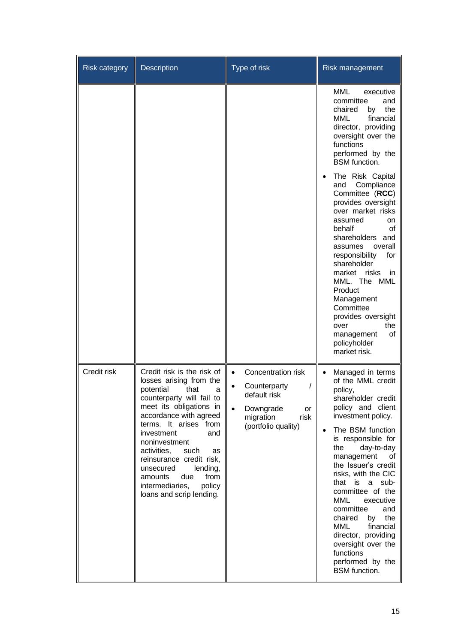| <b>Risk category</b> | Description                                                                                                                                                                                                                                                                                                                                                                                           | Type of risk                                                                                                                                | Risk management                                                                                                                                                                                                                                                                                                                                                                                                                                                                                                                                 |
|----------------------|-------------------------------------------------------------------------------------------------------------------------------------------------------------------------------------------------------------------------------------------------------------------------------------------------------------------------------------------------------------------------------------------------------|---------------------------------------------------------------------------------------------------------------------------------------------|-------------------------------------------------------------------------------------------------------------------------------------------------------------------------------------------------------------------------------------------------------------------------------------------------------------------------------------------------------------------------------------------------------------------------------------------------------------------------------------------------------------------------------------------------|
|                      |                                                                                                                                                                                                                                                                                                                                                                                                       |                                                                                                                                             | MML<br>executive<br>committee<br>and<br>the<br>chaired<br>by<br><b>MML</b><br>financial<br>director, providing<br>oversight over the<br>functions<br>performed by the<br><b>BSM</b> function.<br>The Risk Capital<br>Compliance<br>and<br>Committee (RCC)<br>provides oversight<br>over market risks<br>assumed<br>on<br>behalf<br>οf<br>shareholders and<br>overall<br>assumes<br>responsibility<br>for<br>shareholder<br>market risks<br>in.<br>MML. The MML<br>Product<br>Management<br>Committee<br>provides oversight<br>the<br>over       |
| Credit risk          | Credit risk is the risk of<br>losses arising from the<br>potential<br>that<br>a<br>counterparty will fail to<br>meet its obligations in<br>accordance with agreed<br>terms. It arises from<br>investment<br>and<br>noninvestment<br>activities.<br>such<br>as<br>reinsurance credit risk,<br>unsecured<br>lending,<br>from<br>amounts<br>due<br>intermediaries,<br>policy<br>loans and scrip lending. | Concentration risk<br>$\bullet$<br>Counterparty<br>default risk<br>Downgrade<br>$\bullet$<br>or<br>migration<br>risk<br>(portfolio quality) | of<br>management<br>policyholder<br>market risk.<br>Managed in terms<br>of the MML credit<br>policy,<br>shareholder credit<br>policy and client<br>investment policy.<br>The BSM function<br>is responsible for<br>the<br>day-to-day<br>management<br>οf<br>the Issuer's credit<br>risks, with the CIC<br>that<br>sub-<br>is<br>a<br>committee of the<br>MML<br>executive<br>committee<br>and<br>chaired<br>the<br>by<br>MML<br>financial<br>director, providing<br>oversight over the<br>functions<br>performed by the<br><b>BSM</b> function. |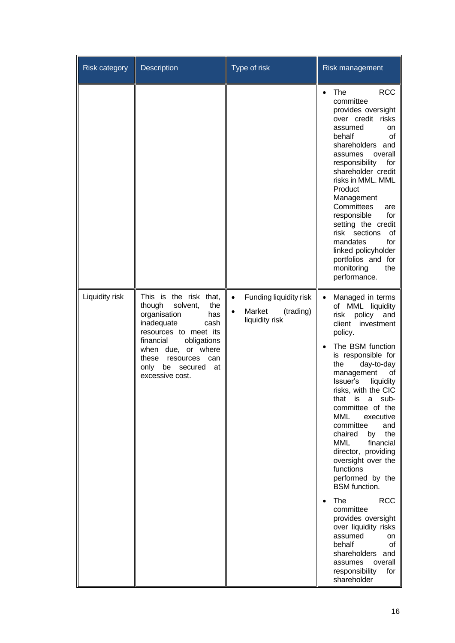| <b>Risk category</b> | Description                                                                                                                                                                                                                                             | Type of risk                                                                              | Risk management                                                                                                                                                                                                                                                                                                                                                                                                                                                                                                                                                                                                                                                                               |
|----------------------|---------------------------------------------------------------------------------------------------------------------------------------------------------------------------------------------------------------------------------------------------------|-------------------------------------------------------------------------------------------|-----------------------------------------------------------------------------------------------------------------------------------------------------------------------------------------------------------------------------------------------------------------------------------------------------------------------------------------------------------------------------------------------------------------------------------------------------------------------------------------------------------------------------------------------------------------------------------------------------------------------------------------------------------------------------------------------|
|                      |                                                                                                                                                                                                                                                         |                                                                                           | <b>RCC</b><br>The<br>committee<br>provides oversight<br>over credit risks<br>assumed<br>on<br>behalf<br>οf<br>shareholders and<br>assumes<br>overall<br>responsibility<br>for<br>shareholder credit<br>risks in MML. MML<br>Product<br>Management<br>Committees<br>are<br>responsible<br>for<br>setting the credit<br>risk sections<br>0f<br>mandates<br>for<br>linked policyholder<br>portfolios and for<br>monitoring<br>the<br>performance.                                                                                                                                                                                                                                                |
| Liquidity risk       | This is the risk that,<br>though<br>solvent,<br>the<br>organisation<br>has<br>inadequate<br>cash<br>resources to meet its<br>financial<br>obligations<br>when due, or where<br>these<br>resources<br>can<br>only<br>be secured<br>at<br>excessive cost. | Funding liquidity risk<br>$\bullet$<br>Market<br>(trading)<br>$\bullet$<br>liquidity risk | Managed in terms<br>$\bullet$<br>of MML liquidity<br>risk<br>policy<br>and<br>client<br>investment<br>policy.<br>The BSM function<br>is responsible for<br>the<br>day-to-day<br>management<br>οt<br>Issuer's<br>liquidity<br>risks, with the CIC<br>that is a<br>sub-<br>committee of the<br><b>MML</b><br>executive<br>committee<br>and<br>chaired<br>by<br>the<br>MML<br>financial<br>director, providing<br>oversight over the<br>functions<br>performed by the<br><b>BSM</b> function.<br><b>RCC</b><br>The<br>committee<br>provides oversight<br>over liquidity risks<br>assumed<br>on<br>behalf<br>οf<br>shareholders and<br>overall<br>assumes<br>responsibility<br>for<br>shareholder |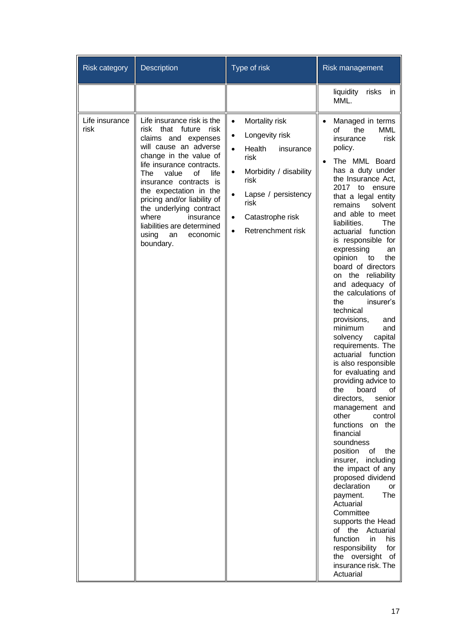| <b>Risk category</b>   | <b>Description</b>                                                                                                                                                                                                                                                                                                                                                                                          | Type of risk                                                                                                                                                                                                                                                         | Risk management                                                                                                                                                                                                                                                                                                                                                                                                                                                                                                                                                                                                                                                                                                                                                                                                                                                                                                                                                                                                                                                                                                          |
|------------------------|-------------------------------------------------------------------------------------------------------------------------------------------------------------------------------------------------------------------------------------------------------------------------------------------------------------------------------------------------------------------------------------------------------------|----------------------------------------------------------------------------------------------------------------------------------------------------------------------------------------------------------------------------------------------------------------------|--------------------------------------------------------------------------------------------------------------------------------------------------------------------------------------------------------------------------------------------------------------------------------------------------------------------------------------------------------------------------------------------------------------------------------------------------------------------------------------------------------------------------------------------------------------------------------------------------------------------------------------------------------------------------------------------------------------------------------------------------------------------------------------------------------------------------------------------------------------------------------------------------------------------------------------------------------------------------------------------------------------------------------------------------------------------------------------------------------------------------|
|                        |                                                                                                                                                                                                                                                                                                                                                                                                             |                                                                                                                                                                                                                                                                      | liquidity<br>risks<br>in<br>MML.                                                                                                                                                                                                                                                                                                                                                                                                                                                                                                                                                                                                                                                                                                                                                                                                                                                                                                                                                                                                                                                                                         |
| Life insurance<br>risk | Life insurance risk is the<br>risk<br>that<br>future<br>risk<br>claims and expenses<br>will cause an adverse<br>change in the value of<br>life insurance contracts.<br>of<br>life<br>The<br>value<br>insurance contracts is<br>the expectation in the<br>pricing and/or liability of<br>the underlying contract<br>where<br>insurance<br>liabilities are determined<br>economic<br>using<br>an<br>boundary. | Mortality risk<br>$\bullet$<br>Longevity risk<br>$\bullet$<br>Health<br>insurance<br>$\bullet$<br>risk<br>Morbidity / disability<br>$\bullet$<br>risk<br>Lapse / persistency<br>$\bullet$<br>risk<br>Catastrophe risk<br>$\bullet$<br>Retrenchment risk<br>$\bullet$ | Managed in terms<br>$\bullet$<br>Ωf<br>the<br>MML<br>insurance<br>risk<br>policy.<br>The MML Board<br>has a duty under<br>the Insurance Act,<br>2017 to<br>ensure<br>that a legal entity<br>remains<br>solvent<br>and able to meet<br>liabilities.<br>The<br>function<br>actuarial<br>is responsible for<br>expressing<br>an<br>opinion<br>the<br>to<br>board of directors<br>the reliability<br>on<br>and adequacy of<br>the calculations of<br>the<br>insurer's<br>technical<br>provisions,<br>and<br>minimum<br>and<br>capital<br>solvency<br>requirements. The<br>actuarial<br>function<br>is also responsible<br>for evaluating and<br>providing advice to<br>board<br>the<br>οf<br>directors,<br>senior<br>management and<br>other<br>control<br>functions<br>on the<br>financial<br>soundness<br>position<br>the<br>οf<br>insurer,<br>including<br>the impact of any<br>proposed dividend<br>declaration<br>or<br>The<br>payment.<br>Actuarial<br>Committee<br>supports the Head<br>of the Actuarial<br>function<br>his<br>in<br>responsibility<br>for<br>the oversight<br>of<br>insurance risk. The<br>Actuarial |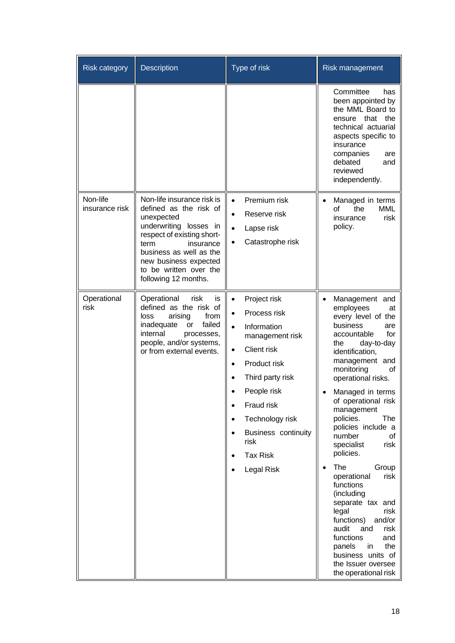| <b>Risk category</b>       | Description                                                                                                                                                                                                                                           | Type of risk                                                                                                                                                                                                                                                                                                           | Risk management                                                                                                                                                                                                                                                                                                                                                                                                                                                                                                                                                                                                                  |
|----------------------------|-------------------------------------------------------------------------------------------------------------------------------------------------------------------------------------------------------------------------------------------------------|------------------------------------------------------------------------------------------------------------------------------------------------------------------------------------------------------------------------------------------------------------------------------------------------------------------------|----------------------------------------------------------------------------------------------------------------------------------------------------------------------------------------------------------------------------------------------------------------------------------------------------------------------------------------------------------------------------------------------------------------------------------------------------------------------------------------------------------------------------------------------------------------------------------------------------------------------------------|
|                            |                                                                                                                                                                                                                                                       |                                                                                                                                                                                                                                                                                                                        | Committee<br>has<br>been appointed by<br>the MML Board to<br>ensure that<br>the<br>technical actuarial<br>aspects specific to<br>insurance<br>companies<br>are<br>debated<br>and<br>reviewed<br>independently.                                                                                                                                                                                                                                                                                                                                                                                                                   |
| Non-life<br>insurance risk | Non-life insurance risk is<br>defined as the risk of<br>unexpected<br>underwriting losses in<br>respect of existing short-<br>term<br>insurance<br>business as well as the<br>new business expected<br>to be written over the<br>following 12 months. | Premium risk<br>$\bullet$<br>Reserve risk<br>$\bullet$<br>Lapse risk<br>$\bullet$<br>Catastrophe risk<br>$\bullet$                                                                                                                                                                                                     | Managed in terms<br>$\bullet$<br>οf<br>the<br><b>MML</b><br>insurance<br>risk<br>policy.                                                                                                                                                                                                                                                                                                                                                                                                                                                                                                                                         |
| Operational<br>risk        | Operational<br>risk<br>is<br>defined as the risk of<br>arising<br>from<br>loss<br>failed<br>inadequate<br>or<br>internal<br>processes,<br>people, and/or systems,<br>or from external events.                                                         | Project risk<br>$\bullet$<br>Process risk<br>$\bullet$<br>Information<br>$\bullet$<br>management risk<br><b>Client risk</b><br>$\bullet$<br>Product risk<br>$\bullet$<br>Third party risk<br>People risk<br>Fraud risk<br>Technology risk<br>$\bullet$<br>Business continuity<br>risk<br><b>Tax Risk</b><br>Legal Risk | Management and<br>employees<br>at<br>every level of the<br>business<br>are<br>accountable<br>for<br>the<br>day-to-day<br>identification,<br>management and<br>monitoring<br>οf<br>operational risks.<br>Managed in terms<br>of operational risk<br>management<br>policies.<br>The<br>policies include a<br>number<br>οf<br>specialist<br>risk<br>policies.<br>The<br>Group<br>risk<br>operational<br>functions<br>(including<br>separate tax and<br>legal<br>risk<br>functions)<br>and/or<br>audit<br>and<br>risk<br>functions<br>and<br>the<br>panels<br>in.<br>business units of<br>the Issuer oversee<br>the operational risk |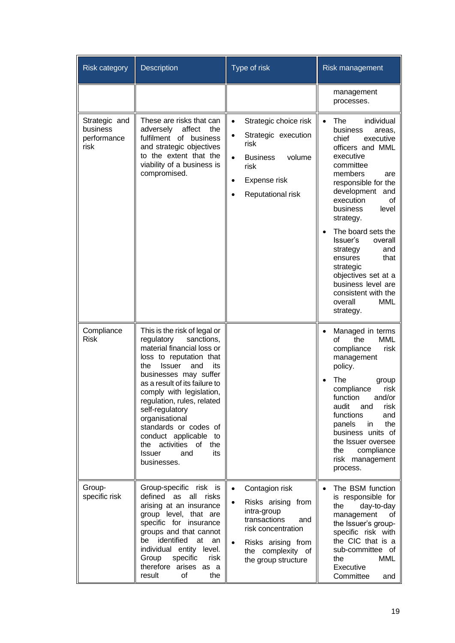| <b>Risk category</b>                             | <b>Description</b>                                                                                                                                                                                                                                                                                    | Type of risk                                                                                                                                                                                              | Risk management                                                                                                                                                                                                                                                    |
|--------------------------------------------------|-------------------------------------------------------------------------------------------------------------------------------------------------------------------------------------------------------------------------------------------------------------------------------------------------------|-----------------------------------------------------------------------------------------------------------------------------------------------------------------------------------------------------------|--------------------------------------------------------------------------------------------------------------------------------------------------------------------------------------------------------------------------------------------------------------------|
|                                                  |                                                                                                                                                                                                                                                                                                       |                                                                                                                                                                                                           | management<br>processes.                                                                                                                                                                                                                                           |
| Strategic and<br>business<br>performance<br>risk | These are risks that can<br>adversely<br>affect<br>the<br>fulfilment of business<br>and strategic objectives<br>to the extent that the<br>viability of a business is<br>compromised.                                                                                                                  | Strategic choice risk<br>$\bullet$<br>Strategic execution<br>risk<br>volume<br><b>Business</b><br>$\bullet$<br>risk<br>Expense risk<br>$\bullet$<br>Reputational risk                                     | individual<br>The<br>$\bullet$<br>business<br>areas,<br>chief<br>executive<br>officers and MML<br>executive<br>committee<br>members<br>are<br>responsible for the<br>development<br>and<br>execution<br>οf<br>business<br>level<br>strategy.<br>The board sets the |
|                                                  |                                                                                                                                                                                                                                                                                                       |                                                                                                                                                                                                           | Issuer's<br>overall<br>and<br>strategy<br>that<br>ensures<br>strategic<br>objectives set at a<br>business level are<br>consistent with the<br>overall<br><b>MML</b><br>strategy.                                                                                   |
| Compliance<br><b>Risk</b>                        | This is the risk of legal or<br>regulatory<br>sanctions,<br>material financial loss or<br>loss to reputation that<br><b>Issuer</b><br>and<br>its<br>the                                                                                                                                               |                                                                                                                                                                                                           | Managed in terms<br>the<br><b>MML</b><br>οf<br>compliance<br>risk<br>management<br>policy.                                                                                                                                                                         |
|                                                  | businesses may suffer<br>as a result of its failure to<br>comply with legislation,<br>regulation, rules, related<br>self-regulatory<br>organisational<br>standards or codes of<br>conduct applicable to<br>the activities<br>of<br>the<br><b>Issuer</b><br>and<br>its<br>businesses.                  |                                                                                                                                                                                                           | The<br>group<br>compliance<br>risk<br>function<br>and/or<br>audit<br>risk<br>and<br>functions<br>and<br>panels<br>the<br>in<br>business units of<br>the Issuer oversee<br>the<br>compliance<br>risk management<br>process.                                         |
| Group-<br>specific risk                          | Group-specific risk is<br>defined as<br>all risks<br>arising at an insurance<br>group level, that are<br>specific for insurance<br>groups and that cannot<br>identified<br>be<br>at<br>an<br>individual entity level.<br>specific<br>Group<br>risk<br>therefore arises<br>as a<br>result<br>of<br>the | Contagion risk<br>$\bullet$<br>Risks arising from<br>$\bullet$<br>intra-group<br>transactions<br>and<br>risk concentration<br>Risks arising from<br>$\bullet$<br>the complexity of<br>the group structure | The BSM function<br>is responsible for<br>day-to-day<br>the<br>management<br>οf<br>the Issuer's group-<br>specific risk with<br>the CIC that is a<br>sub-committee of<br>the<br>MML<br>Executive<br>Committee<br>and                                               |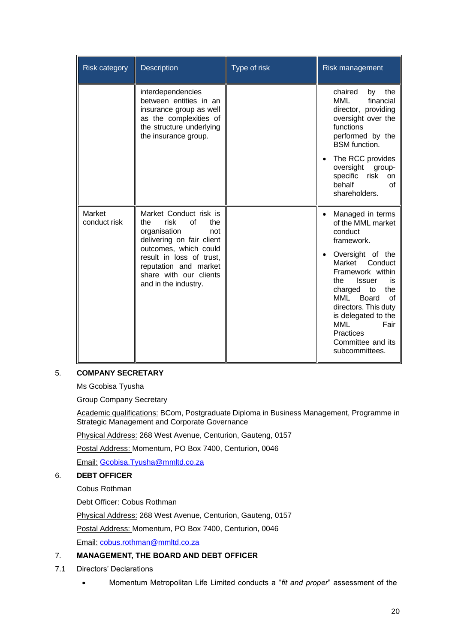| <b>Risk category</b>   | <b>Description</b>                                                                                                                                                                                                                     | Type of risk | Risk management                                                                                                                                                                                                                                                                                                        |
|------------------------|----------------------------------------------------------------------------------------------------------------------------------------------------------------------------------------------------------------------------------------|--------------|------------------------------------------------------------------------------------------------------------------------------------------------------------------------------------------------------------------------------------------------------------------------------------------------------------------------|
|                        | interdependencies<br>between entities in an<br>insurance group as well<br>as the complexities of<br>the structure underlying<br>the insurance group.                                                                                   |              | chaired<br>the<br>by<br><b>MML</b><br>financial<br>director, providing<br>oversight over the<br>functions<br>performed by the<br><b>BSM</b> function.<br>The RCC provides<br>oversight<br>group-<br>specific risk<br>on<br>behalf<br>of<br>shareholders.                                                               |
| Market<br>conduct risk | Market Conduct risk is<br>risk<br>of<br>the<br>the<br>organisation<br>not<br>delivering on fair client<br>outcomes, which could<br>result in loss of trust,<br>reputation and market<br>share with our clients<br>and in the industry. |              | Managed in terms<br>of the MML market<br>conduct<br>framework.<br>Oversight of the<br>Market<br>Conduct<br>Framework within<br><b>Issuer</b><br>is<br>the<br>the<br>charged to<br>MML<br>Board<br>Ωf<br>directors. This duty<br>is delegated to the<br>MML<br>Fair<br>Practices<br>Committee and its<br>subcommittees. |

## 5. **COMPANY SECRETARY**

Ms Gcobisa Tyusha

Group Company Secretary

Academic qualifications: BCom, Postgraduate Diploma in Business Management, Programme in Strategic Management and Corporate Governance

Physical Address: 268 West Avenue, Centurion, Gauteng, 0157

Postal Address: Momentum, PO Box 7400, Centurion, 0046

Email: [Gcobisa.Tyusha@mmltd.co.za](mailto:Gcobisa.Tyusha@mmltd.co.za)

## 6. **DEBT OFFICER**

Cobus Rothman

Debt Officer: Cobus Rothman

Physical Address: 268 West Avenue, Centurion, Gauteng, 0157

Postal Address: Momentum, PO Box 7400, Centurion, 0046

Email: [cobus.rothman@mmltd.co.za](mailto:cobus.rothman@mmltd.co.za)

## 7. **MANAGEMENT, THE BOARD AND DEBT OFFICER**

- 7.1 Directors' Declarations
	- Momentum Metropolitan Life Limited conducts a "*fit and proper*" assessment of the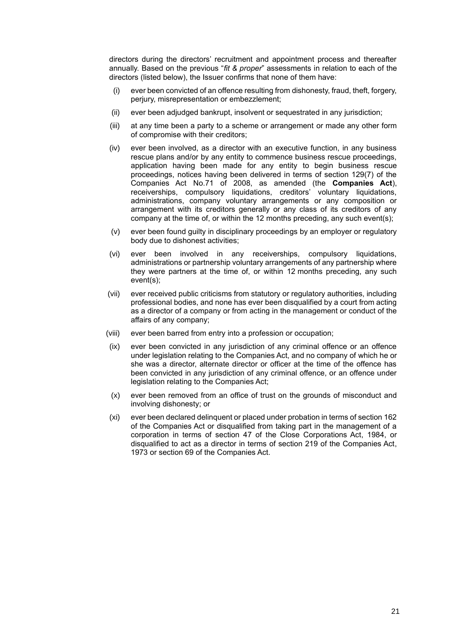directors during the directors' recruitment and appointment process and thereafter annually. Based on the previous "*fit & proper*" assessments in relation to each of the directors (listed below), the Issuer confirms that none of them have:

- (i) ever been convicted of an offence resulting from dishonesty, fraud, theft, forgery, perjury, misrepresentation or embezzlement;
- (ii) ever been adjudged bankrupt, insolvent or sequestrated in any jurisdiction;
- (iii) at any time been a party to a scheme or arrangement or made any other form of compromise with their creditors;
- (iv) ever been involved, as a director with an executive function, in any business rescue plans and/or by any entity to commence business rescue proceedings, application having been made for any entity to begin business rescue proceedings, notices having been delivered in terms of section 129(7) of the Companies Act No.71 of 2008, as amended (the **Companies Act**), receiverships, compulsory liquidations, creditors' voluntary liquidations, administrations, company voluntary arrangements or any composition or arrangement with its creditors generally or any class of its creditors of any company at the time of, or within the 12 months preceding, any such event(s);
- (v) ever been found guilty in disciplinary proceedings by an employer or regulatory body due to dishonest activities;
- (vi) ever been involved in any receiverships, compulsory liquidations, administrations or partnership voluntary arrangements of any partnership where they were partners at the time of, or within 12 months preceding, any such event(s);
- (vii) ever received public criticisms from statutory or regulatory authorities, including professional bodies, and none has ever been disqualified by a court from acting as a director of a company or from acting in the management or conduct of the affairs of any company;
- (viii) ever been barred from entry into a profession or occupation;
- (ix) ever been convicted in any jurisdiction of any criminal offence or an offence under legislation relating to the Companies Act, and no company of which he or she was a director, alternate director or officer at the time of the offence has been convicted in any jurisdiction of any criminal offence, or an offence under legislation relating to the Companies Act;
- (x) ever been removed from an office of trust on the grounds of misconduct and involving dishonesty; or
- (xi) ever been declared delinquent or placed under probation in terms of section 162 of the Companies Act or disqualified from taking part in the management of a corporation in terms of section 47 of the Close Corporations Act, 1984, or disqualified to act as a director in terms of section 219 of the Companies Act, 1973 or section 69 of the Companies Act.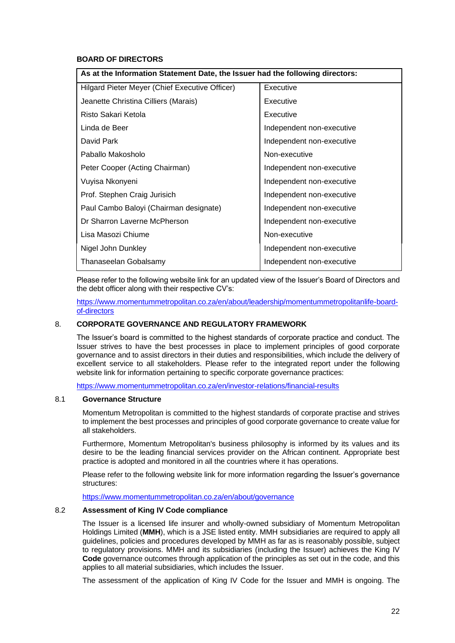## **BOARD OF DIRECTORS**

| As at the Information Statement Date, the Issuer had the following directors: |                           |  |
|-------------------------------------------------------------------------------|---------------------------|--|
| Hilgard Pieter Meyer (Chief Executive Officer)                                | Executive                 |  |
| Jeanette Christina Cilliers (Marais)                                          | Executive                 |  |
| Risto Sakari Ketola                                                           | Executive                 |  |
| Linda de Beer                                                                 | Independent non-executive |  |
| David Park                                                                    | Independent non-executive |  |
| Paballo Makosholo                                                             | Non-executive             |  |
| Peter Cooper (Acting Chairman)                                                | Independent non-executive |  |
| Vuyisa Nkonyeni                                                               | Independent non-executive |  |
| Prof. Stephen Craig Jurisich                                                  | Independent non-executive |  |
| Paul Cambo Baloyi (Chairman designate)                                        | Independent non-executive |  |
| Dr Sharron Laverne McPherson                                                  | Independent non-executive |  |
| Lisa Masozi Chiume                                                            | Non-executive             |  |
| Nigel John Dunkley                                                            | Independent non-executive |  |
| Thanaseelan Gobalsamy                                                         | Independent non-executive |  |

Please refer to the following website link for an updated view of the Issuer's Board of Directors and the debt officer along with their respective CV's:

[https://www.momentummetropolitan.co.za/en/about/leadership/momentummetropolitanlife-board](https://www.momentummetropolitan.co.za/en/about/leadership/momentummetropolitanlife-board-of-directors)[of-directors](https://www.momentummetropolitan.co.za/en/about/leadership/momentummetropolitanlife-board-of-directors) 

## 8. **CORPORATE GOVERNANCE AND REGULATORY FRAMEWORK**

The Issuer's board is committed to the highest standards of corporate practice and conduct. The Issuer strives to have the best processes in place to implement principles of good corporate governance and to assist directors in their duties and responsibilities, which include the delivery of excellent service to all stakeholders. Please refer to the integrated report under the following website link for information pertaining to specific corporate governance practices:

<https://www.momentummetropolitan.co.za/en/investor-relations/financial-results>

## 8.1 **Governance Structure**

Momentum Metropolitan is committed to the highest standards of corporate practise and strives to implement the best processes and principles of good corporate governance to create value for all stakeholders.

Furthermore, Momentum Metropolitan's business philosophy is informed by its values and its desire to be the leading financial services provider on the African continent. Appropriate best practice is adopted and monitored in all the countries where it has operations.

Please refer to the following website link for more information regarding the Issuer's governance structures:

<https://www.momentummetropolitan.co.za/en/about/governance>

#### 8.2 **Assessment of King IV Code compliance**

The Issuer is a licensed life insurer and wholly-owned subsidiary of Momentum Metropolitan Holdings Limited (**MMH**), which is a JSE listed entity. MMH subsidiaries are required to apply all guidelines, policies and procedures developed by MMH as far as is reasonably possible, subject to regulatory provisions. MMH and its subsidiaries (including the Issuer) achieves the King IV **Code** governance outcomes through application of the principles as set out in the code, and this applies to all material subsidiaries, which includes the Issuer.

The assessment of the application of King IV Code for the Issuer and MMH is ongoing. The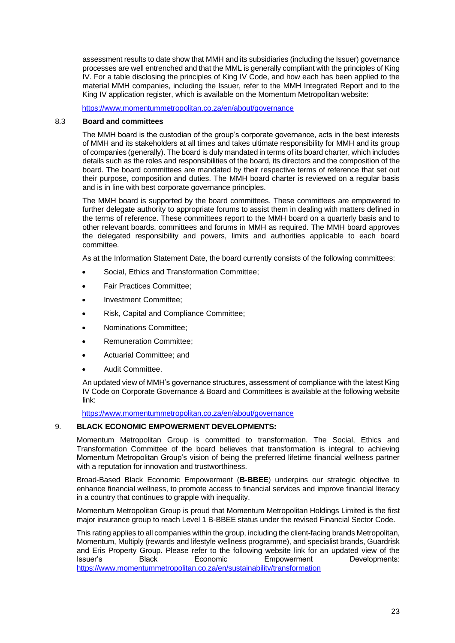assessment results to date show that MMH and its subsidiaries (including the Issuer) governance processes are well entrenched and that the MML is generally compliant with the principles of King IV. For a table disclosing the principles of King IV Code, and how each has been applied to the material MMH companies, including the Issuer, refer to the MMH Integrated Report and to the King IV application register, which is available on the Momentum Metropolitan website:

<https://www.momentummetropolitan.co.za/en/about/governance>

## 8.3 **Board and committees**

The MMH board is the custodian of the group's corporate governance, acts in the best interests of MMH and its stakeholders at all times and takes ultimate responsibility for MMH and its group of companies (generally). The board is duly mandated in terms of its board charter, which includes details such as the roles and responsibilities of the board, its directors and the composition of the board. The board committees are mandated by their respective terms of reference that set out their purpose, composition and duties. The MMH board charter is reviewed on a regular basis and is in line with best corporate governance principles.

The MMH board is supported by the board committees. These committees are empowered to further delegate authority to appropriate forums to assist them in dealing with matters defined in the terms of reference. These committees report to the MMH board on a quarterly basis and to other relevant boards, committees and forums in MMH as required. The MMH board approves the delegated responsibility and powers, limits and authorities applicable to each board committee.

As at the Information Statement Date, the board currently consists of the following committees:

- Social, Ethics and Transformation Committee;
- Fair Practices Committee;
- Investment Committee;
- Risk, Capital and Compliance Committee;
- Nominations Committee;
- Remuneration Committee;
- Actuarial Committee; and
- Audit Committee.

An updated view of MMH's governance structures, assessment of compliance with the latest King IV Code on Corporate Governance & Board and Committees is available at the following website link:

<https://www.momentummetropolitan.co.za/en/about/governance>

### 9. **BLACK ECONOMIC EMPOWERMENT DEVELOPMENTS:**

Momentum Metropolitan Group is committed to transformation. The Social, Ethics and Transformation Committee of the board believes that transformation is integral to achieving Momentum Metropolitan Group's vision of being the preferred lifetime financial wellness partner with a reputation for innovation and trustworthiness.

Broad-Based Black Economic Empowerment (**B-BBEE**) underpins our strategic objective to enhance financial wellness, to promote access to financial services and improve financial literacy in a country that continues to grapple with inequality.

Momentum Metropolitan Group is proud that Momentum Metropolitan Holdings Limited is the first major insurance group to reach Level 1 B-BBEE status under the revised Financial Sector Code.

This rating applies to all companies within the group, including the client-facing brands Metropolitan, Momentum, Multiply (rewards and lifestyle wellness programme), and specialist brands, Guardrisk and Eris Property Group. Please refer to the following website link for an updated view of the Issuer's Black Economic Empowerment Developments: <https://www.momentummetropolitan.co.za/en/sustainability/transformation>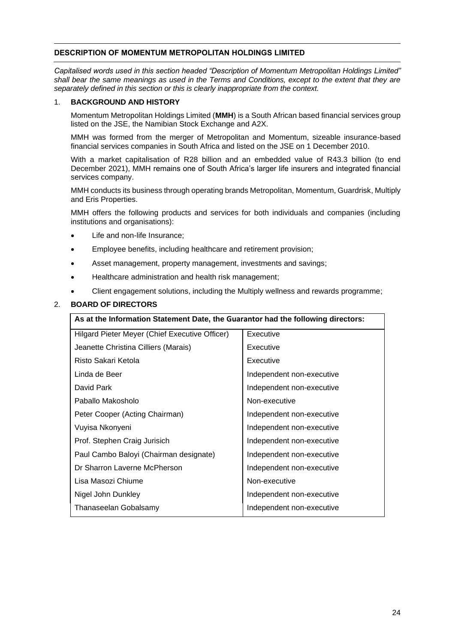## **DESCRIPTION OF MOMENTUM METROPOLITAN HOLDINGS LIMITED**

*Capitalised words used in this section headed "Description of Momentum Metropolitan Holdings Limited" shall bear the same meanings as used in the Terms and Conditions, except to the extent that they are separately defined in this section or this is clearly inappropriate from the context.*

## 1. **BACKGROUND AND HISTORY**

Momentum Metropolitan Holdings Limited (**MMH**) is a South African based financial services group listed on the JSE, the Namibian Stock Exchange and A2X.

MMH was formed from the merger of Metropolitan and Momentum, sizeable insurance-based financial services companies in South Africa and listed on the JSE on 1 December 2010.

With a market capitalisation of R28 billion and an embedded value of R43.3 billion (to end December 2021), MMH remains one of South Africa's larger life insurers and integrated financial services company.

MMH conducts its business through operating brands Metropolitan, Momentum, Guardrisk, Multiply and Eris Properties.

MMH offers the following products and services for both individuals and companies (including institutions and organisations):

- Life and non-life Insurance;
- Employee benefits, including healthcare and retirement provision;
- Asset management, property management, investments and savings;
- Healthcare administration and health risk management;
- Client engagement solutions, including the Multiply wellness and rewards programme;

## 2. **BOARD OF DIRECTORS**

| As at the Information Statement Date, the Guarantor had the following directors: |                           |  |
|----------------------------------------------------------------------------------|---------------------------|--|
| Hilgard Pieter Meyer (Chief Executive Officer)                                   | Executive                 |  |
| Jeanette Christina Cilliers (Marais)                                             | Executive                 |  |
| Risto Sakari Ketola                                                              | Executive                 |  |
| Linda de Beer                                                                    | Independent non-executive |  |
| David Park                                                                       | Independent non-executive |  |
| Paballo Makosholo                                                                | Non-executive             |  |
| Peter Cooper (Acting Chairman)                                                   | Independent non-executive |  |
| Vuyisa Nkonyeni                                                                  | Independent non-executive |  |
| Prof. Stephen Craig Jurisich                                                     | Independent non-executive |  |
| Paul Cambo Baloyi (Chairman designate)                                           | Independent non-executive |  |
| Dr Sharron Laverne McPherson                                                     | Independent non-executive |  |
| Lisa Masozi Chiume                                                               | Non-executive             |  |
| Nigel John Dunkley                                                               | Independent non-executive |  |
| Thanaseelan Gobalsamy                                                            | Independent non-executive |  |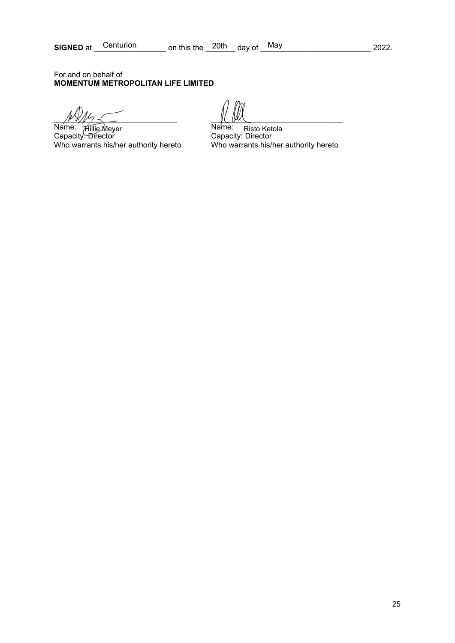For and on behalf of **MOMENTUM METROPOLITAN LIFE LIMITED**

 $\mathbb{R}$ 

Name: <del>A</del>illie Mever **Australian Communist Communist Prop** Capacity: Director Capacity: Director Aillie Meyer Name: Risto Ketola

Who warrants his/her authority hereto Who warrants his/her authority hereto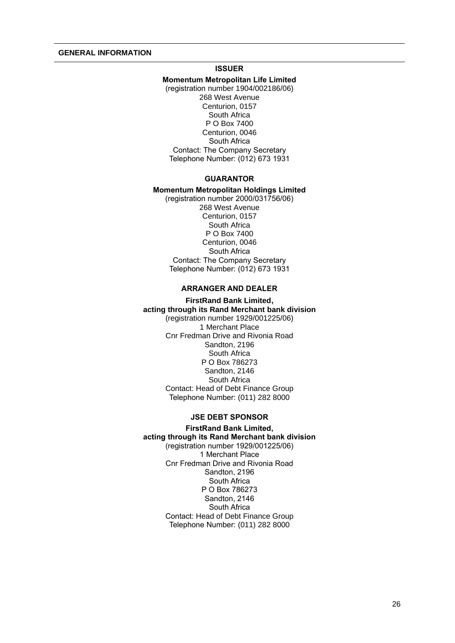## **ISSUER**

**Momentum Metropolitan Life Limited** (registration number 1904/002186/06) 268 West Avenue Centurion, 0157 South Africa P O Box 7400 Centurion, 0046 South Africa Contact: The Company Secretary Telephone Number: (012) 673 1931

#### **GUARANTOR**

## **Momentum Metropolitan Holdings Limited**

(registration number 2000/031756/06) 268 West Avenue Centurion, 0157 South Africa P O Box 7400 Centurion, 0046 South Africa Contact: The Company Secretary Telephone Number: (012) 673 1931

## **ARRANGER AND DEALER**

#### **FirstRand Bank Limited, acting through its Rand Merchant bank division**

(registration number 1929/001225/06) 1 Merchant Place Cnr Fredman Drive and Rivonia Road Sandton, 2196 South Africa P O Box 786273 Sandton, 2146 South Africa Contact: Head of Debt Finance Group Telephone Number: (011) 282 8000

#### **JSE DEBT SPONSOR**

**FirstRand Bank Limited, acting through its Rand Merchant bank division**  (registration number 1929/001225/06) 1 Merchant Place Cnr Fredman Drive and Rivonia Road Sandton, 2196 South Africa P O Box 786273 Sandton, 2146 South Africa Contact: Head of Debt Finance Group Telephone Number: (011) 282 8000